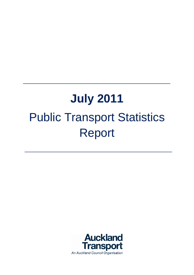# **July 2011** Public Transport Statistics Report

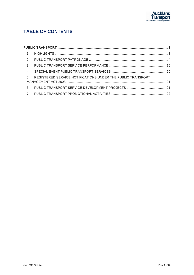

## **TABLE OF CONTENTS**

| $\overline{4}$ |                                                                |  |
|----------------|----------------------------------------------------------------|--|
|                | 5. REGISTERED SERVICE NOTIFICATIONS UNDER THE PUBLIC TRANSPORT |  |
| 6.             |                                                                |  |
|                |                                                                |  |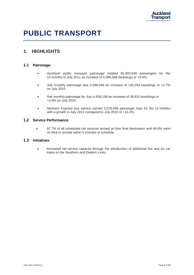

## <span id="page-2-0"></span>**PUBLIC TRANSPORT**

## <span id="page-2-1"></span>**1. HIGHLIGHTS**

#### **1.1 Patronage**

- Auckland public transport patronage totalled 65,903,949 passengers for the 12-months to July 2011 an increase of 5,096,948 boardings or +8.4%.
- July monthly patronage was 5,368,936 an increase of 140,294 boardings or +2.7% on July 2010.
- Rail monthly patronage for July is 838,198 an increase of 38,610 boardings or +4.8% on July 2010.
- Northern Express bus service carried 2,079,098 passenger trips for the 12-months with a growth in July 2011 compared to July 2010 of +14.2%.

#### **1.2 Service Performance**

 97.7% of all scheduled rail services arrived at their final destination and 84.0% were on time or arrived within 5 minutes of schedule.

#### **1.3 Initiatives**

• Increased rail service capacity through the introduction of additional five and six car trains on the Southern and Eastern Lines.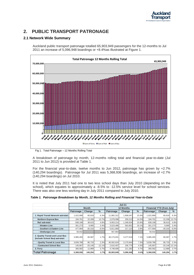

## <span id="page-3-0"></span>**2. PUBLIC TRANSPORT PATRONAGE**

#### **2.1 Network Wide Summary**

Auckland public transport patronage totalled 65,903,949 passengers for the 12-months to Jul 2011 an increase of 5,096,948 boardings or +8.4%as illustrated at Figure 1.



Fig 1. Total Patronage – 12 Months Rolling Total

A breakdown of patronage by month, 12-months rolling total and financial year-to-date (Jul 2011 to Jun 2012) is provided at Table 1.

For the financial year-to-date, twelve months to Jun 2012, patronage has grown by +2.7% (140,294 boardings). Patronage for Jul 2011 was 5,368,936 boardings, an increase of +2.7% (140,294 boardings) on Jul 2010.

It is noted that July 2011 had one to two less school days than July 2010 (depending on the school), which equates to approximately a -8.5% to -12.5% service level for school services. There was also one less working day in July 2011 compared to July 2010.

|  |  | Table 1. Patronage Breakdown by Month, 12 Months Rolling and Financial Year-to-Date |  |  |  |  |  |
|--|--|-------------------------------------------------------------------------------------|--|--|--|--|--|
|--|--|-------------------------------------------------------------------------------------|--|--|--|--|--|

|                                                                     |           | $Jul-11$     |          |                  |           |       |                           |                   |               |
|---------------------------------------------------------------------|-----------|--------------|----------|------------------|-----------|-------|---------------------------|-------------------|---------------|
|                                                                     |           | <b>Month</b> |          | <b>12 Months</b> |           |       | Financial YTD (from July) |                   |               |
|                                                                     | Patronage | Change       | $\%$     | Patronage        | Change    | $\%$  | Patronage                 | Change            | $\frac{0}{0}$ |
| 1. Rapid Transit Network sub-total:                                 | 1.022.899 | 60.818       | 6.3%     | 11,982,312       | 1,608,047 | 15.5% | 1,022,899                 | 60,818            | 6.3%          |
| <b>Northern Express Bus</b>                                         | 184.701   | 22,208       | 13.7%    | 2,079,098        | 259,213   | 14.2% | 184,701                   | 22,208            | 13.7%         |
| Rail sub-total:                                                     | 838,198   | 38.610       | 4.8%     | 9,903,214        | 1,348,834 | 15.8% | 838,198                   | 38,610            | 4.8%          |
| - Western Line                                                      | 301,273   | 9,995        | 3.4%     | 3,523,486        | 563,852   | 19.1% | 301,273                   | 9,995             | 3.4%          |
| - Southern & Eastern Line                                           | 477,994   | $-30,316$    | $-6.0%$  | 5,811,869        | 217,123   | 3.9%  | 477,994                   | $-30,316$         | $-6.0%$       |
| - Onehunga Line                                                     | 58,932    |              |          | 567.883          |           |       | 58,932                    |                   |               |
| 2. Quality Transit and Local Bus<br>(Include School Bus) sub-total: | 3,985,455 | 66.587       | 1.7%     | 49,173,031       | 3,277,619 | 7.1%  | 3,985,455                 | 66,587            | 1.7%          |
| - Quality Transit & Local Bus                                       | 3,839,788 | 86,733       | 2.3%     | 46,562,624       | 3,170,844 | 7.3%  | 3,839,788                 | 86,733            | 2.3%          |
| - Contracted School Bus                                             | 145,667   | $-20.146$    | $-12.1%$ | 2.610.407        | 106,775   | 4.3%  | 145,667                   | $-20.146 - 12.1%$ |               |
| 3. Ferry                                                            | 360,582   | 12,889       | 3.7%     | 4,748,606        | 211,282   | 4.7%  | 360,582                   | 12,889            | 3.7%          |
| <b>Total Patronage</b>                                              | 5,368,936 | 140,294      | 2.7%     | 65,903,949       | 5,096,948 | 8.4%  | 5,368,936                 | 140,294           | 2.7%          |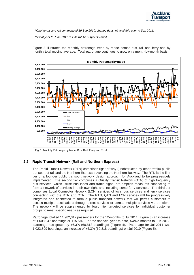

*\*Onehunga Line rail commenced 19 Sep 2010; change data not available prior to Sep 2011.*

*\*\*Final year to June 2011 results will be subject to audit.*



Figure 2 illustrates the monthly patronage trend by mode across bus, rail and ferry and by monthly total moving average. Total patronage continues to grow on a month-by-month basis.

Fig 2. Monthly Patronage by Mode; Bus, Rail, Ferry and Total

#### **2.2 Rapid Transit Network (Rail and Northern Express)**

The Rapid Transit Network (RTN) comprises right-of-way (unobstructed by other traffic) public transport of rail and the Northern Express traversing the Northern Busway. The RTN is the first tier of a four-tier public transport network design approach for Auckland to be progressively implemented. The second tier comprises a Quality Transit Network (QTN) of high frequency bus services, which utilise bus lanes and traffic signal pre-emption measures connecting to form a network of services in their own right and including some ferry services. The third tier comprises Local Connector Network (LCN) services of local bus services and ferry services connecting with the RTN and QTN. The RTN, QTN and LCN services will be progressively integrated and connected to form a public transport network that will permit customers to access multiple destinations through direct services or across multiple services via transfers. The network will be supplemented by fourth tier targeted services for individual customer groups to meet specific needs as required.

Patronage totalled 11,982,312 passengers for the 12-months to Jul 2011 (Figure 3) an increase of 1,608,047 boardings or +15.5%. For the financial year-to-date, twelve months to Jun 2012, patronage has grown by +6.3% (60,818 boardings) (Figure 4). Patronage for Jul 2011 was 1,022,899 boardings, an increase of +6.3% (60,818 boardings) on Jul 2010 (Figure 5).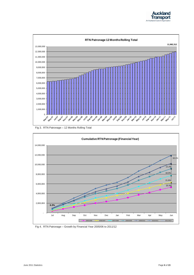



Fig 3. RTN Patronage – 12 Months Rolling Total



Fig 4. RTN Patronage – Growth by Financial Year 2005/06 to 2011/12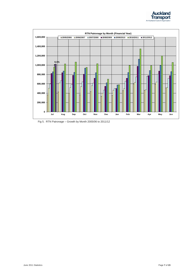



Fig 5. RTN Patronage – Growth by Month 2005/06 to 2011/12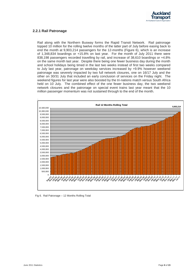

#### **2.2.1 Rail Patronage**

Rail along with the Northern Busway forms the Rapid Transit Network. Rail patronage topped 10 million for the rolling twelve months of the latter part of July before easing back to end the month at 9,903,214 passengers for the 12-months (Figure 6), which is an increase of 1,348,834 boardings or +15.8% on last year. For the month of July 2011 there were 838,198 passengers recorded travelling by rail, and increase of 38,610 boardings or +4.8% on the same month last year. Despite there being one fewer business day during the month and school holidays being timed in the last two weeks instead of first two weeks compared to July last year, patronage on weekday services increased by +9.9% however weekend patronage was severely impacted by two full network closures, one on 16/17 July and the other on 30/31 July that included an early conclusion of services on the Friday night. The weekend figures for last year were also boosted by the tri-nations match versus South Africa held on 10 July. The combined effect of the one fewer business day, the two weekend network closures and the patronage on special event trains last year meant that the 10 million passenger momentum was not sustained through to the end of the month.



Fig 6. Rail Patronage – 12 Months Rolling Total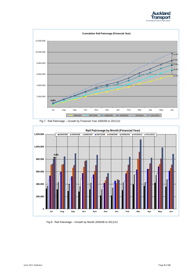







Fig 8. Rail Patronage – Growth by Month 2005/06 to 2011/12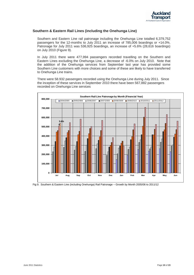

#### **Southern & Eastern Rail Lines (including the Onehunga Line)**

Southern and Eastern Line rail patronage including the Onehunga Line totalled 6,379,752 passengers for the 12-months to July 2011 an increase of 785,006 boardings or +14.0%. Patronage for July 2011 was 536,925 boardings, an increase of +5.6% (28,616 boardings) on July 2010 (Figure 9).

In July 2011 there were 477,994 passengers recorded travelling on the Southern and Eastern Lines excluding the Onehunga Line, a decrease of -6.0% on July 2010. Note that the addition of the Onehunga services from September last year has provided some Southern Line customers with more choices and some of these are likely to have transferred to Onehunga Line trains.

There were 58.932 passengers recorded using the Onehunga Line during July 2011. Since the inception of these services in September 2010 there have been 567,882 passengers recorded on Onehunga Line services



Fig 9. Southern & Eastern Line (including Onehunga) Rail Patronage – Growth by Month 2005/06 to 2011/12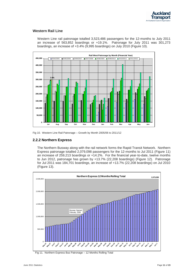

#### **Western Rail Line**

Western Line rail patronage totalled 3,523,486 passengers for the 12-months to July 2011 an increase of 563,852 boardings or +19.1%. Patronage for July 2011 was 301,273 boardings, an increase of +3.4% (9,995 boardings) on July 2010 (Figure 10).



Fig 10. Western Line Rail Patronage – Growth by Month 2005/06 to 2011/12

#### **2.2.2 Northern Express**

The Northern Busway along with the rail network forms the Rapid Transit Network. Northern Express patronage totalled 2,079,098 passengers for the 12-months to Jul 2011 (Figure 11) an increase of 259,213 boardings or +14.2%. For the financial year-to-date, twelve months to Jun 2012, patronage has grown by +13.7% (22,208 boardings) (Figure 12). Patronage for Jul 2011 was 184,701 boardings, an increase of +13.7% (22,208 boardings) on Jul 2010 (Figure 13).



Fig 11. Northern Express Bus Patronage – 12 Months Rolling Total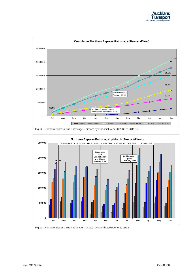



Fig 12. Northern Express Bus Patronage – Growth by Financial Year 2005/06 to 2011/12



Fig 13. Northern Express Bus Patronage – Growth by Month 2005/06 to 2011/12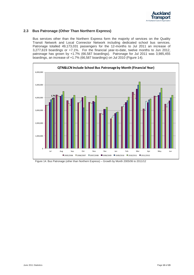

#### **2.3 Bus Patronage (Other Than Northern Express)**

Bus services other than the Northern Express form the majority of services on the Quality Transit Network and Local Connector Network including dedicated school bus services. Patronage totalled 49,173,031 passengers for the 12-months to Jul 2011 an increase of 3,277,619 boardings or +7.1%. For the financial year-to-date, twelve months to Jun 2012, patronage has grown by +1.7% (66,587 boardings). Patronage for Jul 2011 was 3,985,455 boardings, an increase of +1.7% (66,587 boardings) on Jul 2010 (Figure 14).



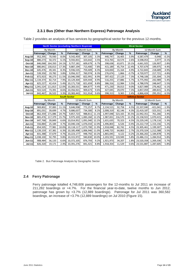

#### **2.3.1 Bus (Other than Northern Express) Patronage Analysis**

|               | <b>North Sector (excluding Northern Express)</b> |          |       |            |              |                       | <b>West Sector</b> |          |              |            |              |         |
|---------------|--------------------------------------------------|----------|-------|------------|--------------|-----------------------|--------------------|----------|--------------|------------|--------------|---------|
|               |                                                  | By Month |       |            | 12 Month Sum |                       | By Month           |          | 12 Month Sum |            |              |         |
|               | Patronage                                        | Change   | %     | Patronage  | Change       | %                     | Patronage          | Change   | %            | Patronage  | Change       | %       |
| Aug-10        | 952,395                                          | 70,930   | 8.0%  | 9,542,459  | 307,105      | 3.3%                  | 440.747            | 16,405   | 3.9%         | 4,587,479  | $-9,948$     | $-0.2%$ |
| Sep-10        | 880,273                                          | 50,372   | 6.1%  | 9,592,831  | 323,642      | 3.5%                  | 413,765            | 10,574   | 2.6%         | 4,598,053  | $-3,977$     | $-0.1%$ |
| $Oct-10$      | 846,068                                          | 164,350  | 24.1% | 9,757,181  | 609,679      | 6.7%                  | 398,638            | 63,871   | 19.1%        | 4,661,925  | 126,907      | 2.8%    |
| <b>Nov-10</b> | 880,841                                          | 130,013  | 17.3% | 9,887,194  | 713,400      | 7.8%                  | 415,189            | 45,754   | 12.4%        | 4,707,679  | 199,975      | 4.4%    |
| <b>Dec-10</b> | 645,476                                          | 49,341   | 8.3%  | 9,936,535  | 759,409      | 8.3%                  | 324,830            | 15,164   | 4.9%         | 4,722,843  | 218,689      | 4.9%    |
| $Jan-11$      | 539,350                                          | 19,782   | 3.8%  | 9,956,317  | 760,974      | 8.3%                  | 276,674            | 1,866    | $-0.7%$      | 4,720,977  | 217,721      | 4.8%    |
| Feb-11        | 872,923                                          | 90,273   | 11.5% | 10,046,590 | 822,991      | 8.9%                  | 397,422            | 27,129   | 7.3%         | 4,748,106  | 235,304      | 5.2%    |
| Mar-11        | 1,134,374                                        | 82,714   | 7.9%  | 10,129,304 | 829,444      | 8.9%                  | 516,255            | 27,886   | 5.7%         | 4,775,992  | 242,989      | 5.4%    |
| Apr-11        | 825,227                                          | 42,414   | 5.4%  | 10,171,718 | 821,659      | 8.8%                  | 386,316            | 12,984   | 3.5%         | 4,788,976  | 248,647      | 5.5%    |
| May-11        | 1,041,524                                        | 111,813  | 12.0% | 10,283,531 | 884,877      | 9.4%                  | 471,230            | 39,013   | 9.0%         | 4,827,989  | 276,462      | 6.1%    |
| <b>Jun-11</b> | 922,524                                          | 73,391   | 8.6%  | 10,356,921 | 909,673      | 9.6%                  | 427,045            | 29,070   | 7.3%         | 4,857,059  | 289,815      | 6.3%    |
| <b>Jul-11</b> | 842,467                                          | 26,522   | 3.3%  | 10,383,443 | 911,914      | 9.6%                  | 398,313            | 9,365    | 2.4%         | 4,866,424  | 295,351      | 6.5%    |
|               | <b>South Sector</b>                              |          |       |            |              | <b>Isthmus Sector</b> |                    |          |              |            |              |         |
|               |                                                  |          |       |            |              |                       |                    |          |              |            |              |         |
|               |                                                  | By Month |       |            | 12 Month Sum |                       |                    | By Month |              |            | 12 Month Sum |         |
|               | Patronage                                        | Change   | %     | Patronage  | Change       | %                     | Patronage          | Change   | %            | Patronage  | Change       | %       |
| Aug-10        | 969,802                                          | 97,083   | 11.1% | 9,646,938  | 772,257      | 8.7%                  | 2,134,515          | 92,758   | 4.5%         | 22,337,040 | $-421.041$   | $-1.9%$ |
| Sep-10        | 891,031                                          | 39,699   | 4.7%  | 9,686,637  | 734,300      | 8.2%                  | 2,008,319          | 82,146   | 4.3%         | 22,419,187 | $-323,331$   | $-1.4%$ |
| Oct-10        | 862,359                                          | 171,086  | 24.7% | 9,857,723  | 988,811      | 11.1%                 | 1,997,048          | 523,165  | 35.5%        | 22,942,351 | 761,266      | 3.4%    |
| <b>Nov-10</b> | 865,476                                          | 117,379  | 15.7% | 9,975,103  | 1,083,260    | 12.2%                 | 1,987,831          | 216,570  | 12.2%        | 23,158,922 | 1,070,415    | 4.8%    |
| <b>Dec-10</b> | 647,768                                          | 39,849   | 6.6%  | 10,014,952 | 1,091,040    | 12.2%                 | 1,631,635          | 70,323   | 4.5%         | 23,229,245 | 1,178,116    | 5.3%    |
| <b>Jan-11</b> | 556,884                                          | 25,184   | 4.7%  | 10,040,136 | 1,076,010    | 12.0%                 | 1,496,803          | 6,526    | $-0.4%$      | 23,222,719 | 1,153,156    | 5.2%    |
| Feb-11        | 854,505                                          | 77,981   | 10.0% | 10,118,117 | 1,073,700    | 11.9%                 | 1,918,048          | 82,742   | 4.5%         | 23,305,461 | 1,199,307    | 5.4%    |
| Mar-11        | 1,139,159                                        | 67,381   | 6.3%  | 10,185,498 | 1,006,946    | 11.0%                 | 2,448,725          | 64,863   | 2.7%         | 23,370,324 | 1,212,588    | 5.5%    |
| Apr-11        | 831,388                                          | 37,679   | 4.7%  | 10,223,177 | 948,792      | 10.2%                 | 1,865,045          | 4,122    | $-0.2%$      | 23,366,202 | 1,184,878    | 5.3%    |
| May-11        | 1,038,100                                        | 92,795   | 9.8%  | 10,315,972 | 940,830      | 10.0%                 | 2,203,591          | 119,949  | 5.8%         | 23,486,151 | 1,284,914    | 5.8%    |
| <b>Jun-11</b> | 908,484                                          | 56,133   | 6.6%  | 10,372,105 | 876,793      | 9.2%                  | 1,921,973          | 34,207   | 1.8%         | 23,520,358 | 1,269,336    | 5.7%    |
| <b>Jul-11</b> | 826,320                                          | 19,171   | 2.4%  | 10,391,276 | 841,421      | 8.8%                  | 1,918,354          | 11,529   | 0.6%         | 23,531,887 | 1,287,605    | 5.8%    |

Table 2 provides an analysis of bus services by geographical sector for the previous 12-months.

Table 2. Bus Patronage Analysis by Geographic Sector

#### **2.4 Ferry Patronage**

Ferry patronage totalled 4,748,606 passengers for the 12-months to Jul 2011 an increase of 211,282 boardings or +4.7%. For the financial year-to-date, twelve months to Jun 2012, patronage has grown by +3.7% (12,889 boardings). Patronage for Jul 2011 was 360,582 boardings, an increase of +3.7% (12,889 boardings) on Jul 2010 (Figure 15).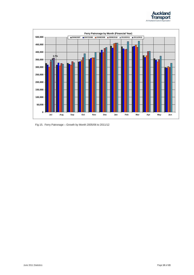



Fig 15. Ferry Patronage – Growth by Month 2005/06 to 2011/12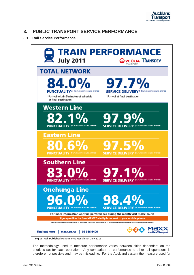

## <span id="page-15-0"></span>**3. PUBLIC TRANSPORT SERVICE PERFORMANCE**

#### **3.1 Rail Service Performance**



Fig 16. Rail Published Performance Results for July 2011

The methodology used to measure performance varies between cities dependent on the priorities set for each operation. Any comparison of performance to other rail operations is therefore not possible and may be misleading. For the Auckland system the measure used for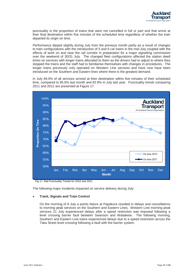

punctuality is the proportion of trains that were not cancelled in full or part and that arrive at their final destination within five minutes of the scheduled time regardless of whether the train departed its origin on time.

Performance dipped slightly during July from the previous month partly as a result of changes to train configurations with the introduction of 5 and 6 car trains in the mid-July coupled with the effects of work on and near the rail corridor in preparation for a major signalling commission over the weekend of 30/31 July. The changed fleet configurations affected the station dwell times on services with longer trains allocated to them as the drivers had to adjust to where they stopped the trains and the staff had to familiarise themselves with changes in procedures. The longer trains previously only operated on Western Line services and have now have been introduced on the Southern and Eastern lines where there is the greatest demand.

In July 84.0% of all services arrived at their destination within five minutes of their scheduled time, compared to 85.6% last month and 82.9% in July last year. Punctuality trends comparing 2011 and 2012 are presented at Figure 17.



Fig 17. Rail Punctuality Trends for 2010 and 2011

The following major incidents impacted on service delivery during July:

#### **Track, Signals and Train Control**

On the morning of 8 July a points failure at Papakura resulted in delays and cancellations to morning peak services on the Southern and Eastern Lines. Western Line morning peak services 21 July experienced delays after a speed restriction was imposed following a level crossing barrier fault between Swanson and Waitakere. The following morning, Southern and Eastern Line trains experienced delays due to a speed restriction across the Taka Street level crossing following a fault with the barrier system.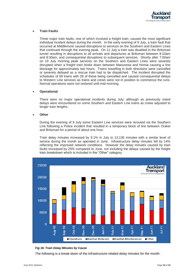

#### **Train Faults**

Three major train faults, one of which involved a freight train, caused the most significant individual incident delays during the month. In the early evening of 6 July, a train fault that occurred at Middlemore caused disruptions to services on the Southern and Eastern Lines that continued through the evening peak. On 11 July a train was disabled in the Britomart tunnel resulting in disruptions to all arrivals and departures at Britomart between 8:10am and 8:30am, and consequential disruptions to subsequent services. Shortly after 7:00am on 19 July morning peak services on the Southern and Eastern Lines were severely disrupted when a freight train broke down between Manurewa and Homai causing a line blockage for approximately two hours. Trains travelling in both directions were cancelled or severely delayed as a rescue train had to be dispatched. The incident disrupted the schedules of 69 trains with 28 of these being cancelled and caused consequential delays to Western Line services as trains and crews were not in position to commence the runs. Normal operations were not restored until mid-morning.

#### **Operational**

There were no major operational incidents during July, although as previously noted delays were encountered on some Southern and Eastern Line trains as crews adjusted to longer train lengths.

#### **Other**

During the evening of 9 July some Eastern Line services were rerouted via the Southern Line following a Police incident that resulted in a temporary block of line between Orakei and Britomart for a period of about one hour.

Train delay minutes increased by 9.1% in July to 13,130 minutes with a similar level of service during the month as operated in June. Infrastructure delay minutes fell by 14% reflecting the improved network conditions. However the delay minutes caused by train faults increased by 25% compared to June, not including the delays caused by the freight train breakdown which is included in the "Other" category



#### *Fig 18. Train Delay Minutes by Cause*

The following is a break-down of the infrastructure-related delay minutes for the month: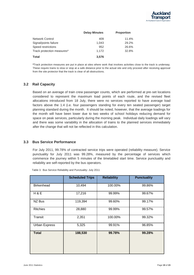|                            | <b>Delay Minutes</b> | <b>Proportion</b> |
|----------------------------|----------------------|-------------------|
| <b>Network Control</b>     | 409                  | 11.4%             |
| Signal/points failure      | 1.043                | 29.2%             |
| Speed restrictions         | 952                  | 26.6%             |
| Track protection measures* | 1,172                | 32.8%             |
| Total                      | 3,576                |                   |

**\***Track protection measures are put in place at sites where work that involves activities close to the track is underway. These require trains to slow or stop at a safe distance prior to the actual site and only proceed after receiving approval from the site protector that the track is clear of all obstructions.

#### **3.2 Rail Capacity**

Based on an average of train crew passenger counts, which are performed at pre-set locations considered to represent the maximum load points of each route, and the revised fleet allocations introduced from 18 July, there were no services reported to have average load factors above the 1.4 (i.e. four passengers standing for every ten seated passenger) target planning standard during the month. It should be noted, however, that the average loadings for the month will have been lower due to two weeks of school holidays reducing demand for space on peak services, particularly during the morning peak. Individual daily loadings will vary and there was some variability in the allocation of trains to the planned services immediately after the change that will not be reflected in this calculation.

#### **3.3 Bus Service Performance**

For July 2011, 99.78% of contracted service trips were operated (reliability measure). Service punctuality for July 2011 was 99.28%, measured by the percentage of services which commence the journey within 5 minutes of the timetabled start time. Service punctuality and reliability are self-reported by the bus operators.

|                   | <b>Scheduled Trips</b> | <b>Reliability</b> | <b>Punctuality</b> |
|-------------------|------------------------|--------------------|--------------------|
| <b>Birkenhead</b> | 10,494                 | 100.00%            | 99.86%             |
| H & E             | 17,216                 | 99.99%             | 99.67%             |
| NZ Bus            | 119,394                | 99.60%             | 99.17%             |
| <b>Ritchies</b>   | 28,880                 | 99.99%             | 99.57%             |
| Transit           | 2,351                  | 100.00%            | 99.32%             |
| Urban Express     | 5,325                  | 99.91%             | 96.85%             |
| <b>Total</b>      | 188,530                | 99.78%             | 99.28%             |

Table 3. Bus Service Reliability and Punctuality- July 2011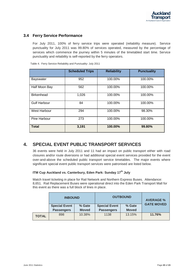

#### **3.4 Ferry Service Performance**

For July 2011, 100% of ferry service trips were operated (reliability measure). Service punctuality for July 2011 was 99.80% of services operated, measured by the percentage of services which commence the journey within 5 minutes of the timetabled start time. Service punctuality and reliability is self-reported by the ferry operators.

|                     | <b>Scheduled Trips</b> | <b>Reliability</b> | <b>Punctuality</b> |
|---------------------|------------------------|--------------------|--------------------|
| <b>Bayswater</b>    | 952                    | 100.00%            | 100.00%            |
| Half Moon Bay       | 562                    | 100.00%            | 100.00%            |
| <b>Birkenhead</b>   | 1,026                  | 100.00%            | 100.00%            |
| <b>Gulf Harbour</b> | 84                     | 100.00%            | 100.00%            |
| West Harbour        | 294                    | 100.00%            | 98.30%             |
| <b>Pine Harbour</b> | 273                    | 100.00%            | 100.00%            |
| <b>Total</b>        | 3,191                  | 100.00%            | 99.80%             |

Table 4. Ferry Service Reliability and Punctuality- July 2011

## <span id="page-19-0"></span>**4. SPECIAL EVENT PUBLIC TRANSPORT SERVICES**

36 events were held in July 2011 and 11 had an impact on public transport either with road closures and/or route diversions or had additional special event services provided for the event over-and-above the scheduled public transport service timetables. The major events where significant special event public transport services were patronised are listed below.

#### **ITM Cup Auckland vs. Canterbury, Eden Park: Sunday 17th July**

Match travel ticketing in place for Rail Network and Northern Express Buses. Attendance: 8,651. Rail Replacement Buses were operational direct into the Eden Park Transport Mall for this event as there was a full block of lines in place.

|              | <b>INBOUND</b>       |              | <b>OUTBOUND</b>      | <b>AVERAGE %</b> |                   |
|--------------|----------------------|--------------|----------------------|------------------|-------------------|
|              | <b>Special Event</b> | % Gate       | <b>Special Event</b> | % Gate           | <b>GATE MOVED</b> |
|              | <b>Passengers</b>    | <b>Moved</b> | <b>Passengers</b>    | <b>Moved</b>     |                   |
| <b>TOTAL</b> | 898                  | 10.38%       | 1138                 | 13.15%           | 11.76%            |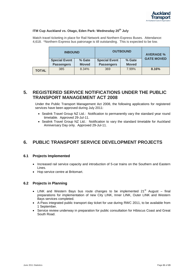#### **ITM Cup Auckland vs. Otago, Eden Park: Wednesday 20th July**

Match travel ticketing in place for Rail Network and Northern Express Buses. Attendance: 4,618. \*Northern Express bus patronage is till outstanding. This is expected to be low.

|              | <b>INBOUND</b>       |              | <b>OUTBOUND</b>      | <b>AVERAGE %</b> |                   |
|--------------|----------------------|--------------|----------------------|------------------|-------------------|
|              | <b>Special Event</b> | % Gate       | <b>Special Event</b> | % Gate           | <b>GATE MOVED</b> |
|              | <b>Passengers</b>    | <b>Moved</b> | <b>Passengers</b>    | <b>Moved</b>     |                   |
| <b>TOTAL</b> | 385                  | 8.34%        | 369                  | 7.99%            | 8.16%             |

## <span id="page-20-0"></span>**5. REGISTERED SERVICE NOTIFICATIONS UNDER THE PUBLIC TRANSPORT MANAGEMENT ACT 2008**

Under the Public Transport Management Act 2008, the following applications for registered services have been approved during July 2011:

- Sealink Travel Group NZ Ltd.: Notification to permanently vary the standard year round timetable. Approved 29-Jul-11.
- Sealink Travel Group NZ Ltd.: Notification to vary the standard timetable for Auckland Anniversary Day only. Approved 29-Jul-11.

## <span id="page-20-1"></span>**6. PUBLIC TRANSPORT SERVICE DEVELOPMENT PROJECTS**

#### **6.1 Projects Implemented**

- Increased rail service capacity and introduction of 5-car trains on the Southern and Eastern Lines.
- Hop service centre at Britomart.

#### **6.2 Projects in Planning**

- LINK and Western Bays bus route changes to be implemented  $21<sup>st</sup>$  August final preparations for implementation of new City LINK, Inner LINK, Outer LINK and Western Bays services completed.
- A-Pass integrated public transport day ticket for use during RWC 2011, to be available from 1 September.
- Service review underway in preparation for public consultation for Hibiscus Coast and Great South Road.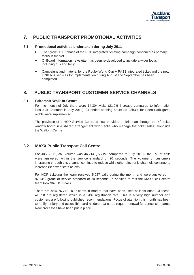

## <span id="page-21-0"></span>**7. PUBLIC TRANSPORT PROMOTIONAL ACTIVITIES**

#### **7.1 Promotional activities undertaken during July 2011**

- The "grow HOP" phase of the HOP integrated ticketing campaign continued as primary focus in market.
- OnBoard information newsletter has been re-developed to include a wider focus including bus and ferry.
- Campaigns and material for the Rugby World Cup A PASS integrated ticket and the new LINK bus services for implementation during August and September has been completed.

## **8. PUBLIC TRANSPORT CUSTOMER SERVICE CHANNELS**

#### **8.1 Britomart Walk-In-Centre**

For the month of July there were 14,304 visits (21.9% increase compared to information kiosks at Britomart in July 2010). Extended opening hours (to 23h30) for Eden Park game nights were implemented.

The provision of a HOP Service Centre is now provided at Britomart through the  $4<sup>th</sup>$  ticket window booth in a shared arrangement with Veolia who manage the ticket sales, alongside the Walk-In-Centre.

#### **8.2 MAXX Public Transport Call Centre**

For July 2011, call volume was 46,214 (-5.71% compared to July 2010). 82.56% of calls were answered within the service standard of 20 seconds. The volume of customers interacting through this channel continue to reduce while other electronic channels continue to increase (see web stats below).

For HOP ticketing the team received 5,027 calls during the month and were answered in 87.74% grade of service standard of 20 seconds. In addition to this the MAXX call centre team took 367 HOP calls.

There are now 76,748 HOP cards in market that have been used at least once. Of these, 41,558 are registered which is a 54% registration rate. This is a very high number and customers are following published recommendations. Focus of attention this month has been to notify tertiary and accessible card holders that cards require renewal for concession fares. New processes have been put in place.